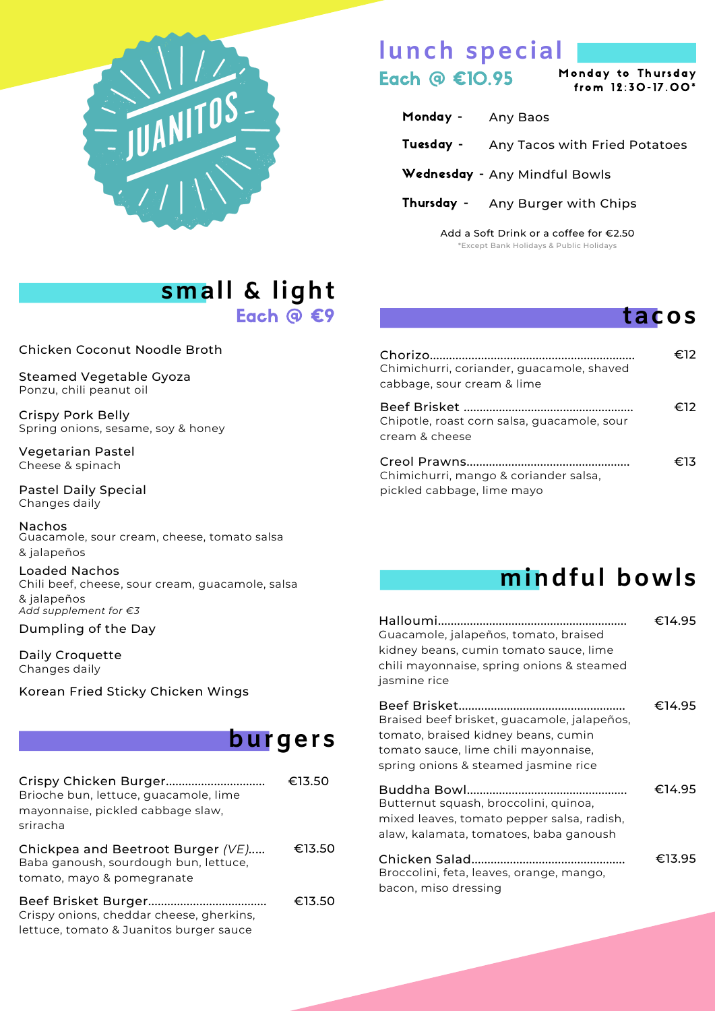

### **lunch special** Each  $\textcircled{a}$   $\textcircled{10.95}$  Monday to Thursday

Monday to Thursday

- Monday Any Baos
- Tuesday Any Tacos with Fried Potatoes
- Wednesday Any Mindful Bowls
- Thursday Any Burger with Chips

Add a Soft Drink or a coffee for €2.50 \*Except Bank Holidays & Public Holidays

#### **tacos**

## **small & light**

Each @ €9

Chicken Coconut Noodle Broth

Steamed Vegetable Gyoza Ponzu, chili peanut oil

Crispy Pork Belly Spring onions, sesame, soy & honey

Vegetarian Pastel Cheese & spinach

Pastel Daily Special Changes daily

Nachos Guacamole, sour cream, cheese, tomato salsa & jalapeños

Loaded Nachos Chili beef, cheese, sour cream, guacamole, salsa & jalapeños *Add supplement for €3*

Dumpling of the Day

Daily Croquette Changes daily

Korean Fried Sticky Chicken Wings

### **burgers**

| Crispy Chicken Burger<br>Brioche bun, lettuce, guacamole, lime<br>mayonnaise, pickled cabbage slaw,<br>sriracha | €13.50 |
|-----------------------------------------------------------------------------------------------------------------|--------|
| Chickpea and Beetroot Burger (VE)<br>Baba ganoush, sourdough bun, lettuce,<br>tomato, mayo & pomegranate        | €13.50 |
| Crispy onions, cheddar cheese, gherkins,<br>lettuce, tomato & Juanitos burger sauce                             | €13.50 |

| Chimichurri, coriander, quacamole, shaved<br>cabbage, sour cream & lime | €12∶ |
|-------------------------------------------------------------------------|------|
| Chipotle, roast corn salsa, guacamole, sour<br>cream & cheese           | €12  |
| Chimichurri, mango & coriander salsa,<br>pickled cabbage, lime mayo     | €13  |

## **mindful bowls**

| Guacamole, jalapeños, tomato, braised<br>kidney beans, cumin tomato sauce, lime<br>chili mayonnaise, spring onions & steamed<br>jasmine rice                       | €14.95 |
|--------------------------------------------------------------------------------------------------------------------------------------------------------------------|--------|
| Braised beef brisket, guacamole, jalapeños,<br>tomato, braised kidney beans, cumin<br>tomato sauce, lime chili mayonnaise,<br>spring onions & steamed jasmine rice | €14.95 |
| Butternut squash, broccolini, quinoa,<br>mixed leaves, tomato pepper salsa, radish,<br>alaw, kalamata, tomatoes, baba ganoush                                      | €14.95 |
| Broccolini, feta, leaves, orange, mango,<br>bacon, miso dressing                                                                                                   | €13.95 |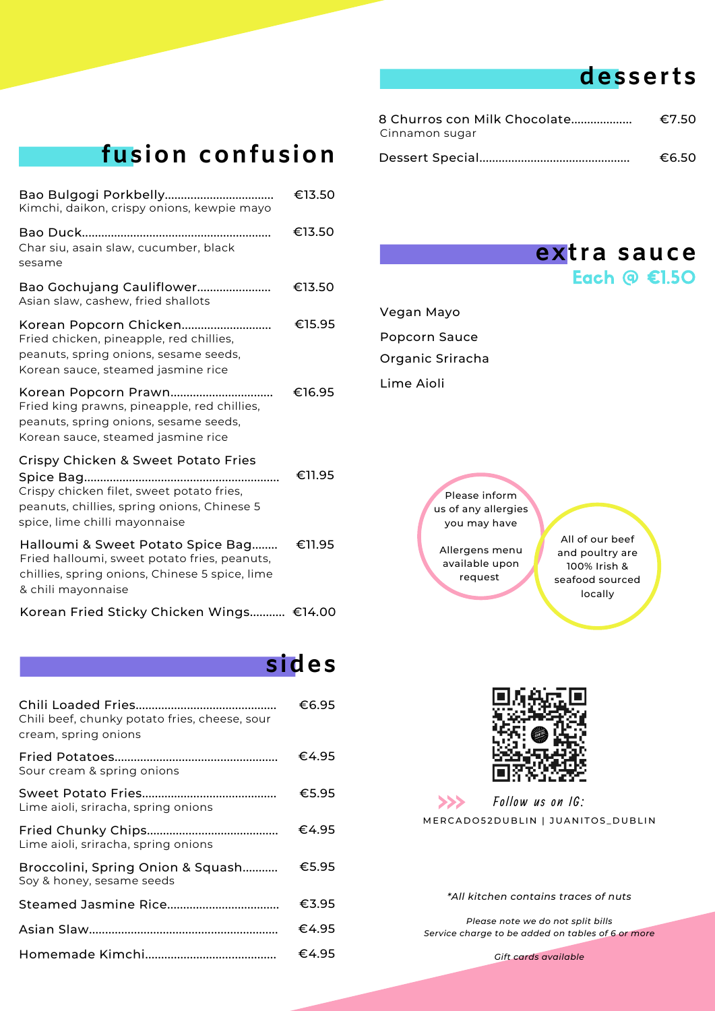### **desserts**

| 8 Churros con Milk Chocolate | €7.50 |
|------------------------------|-------|
| Cinnamon sugar               |       |
|                              | €6.50 |

## **fusion confusion**

| Kimchi, daikon, crispy onions, kewpie mayo                                                                                                                       | €13.50 |
|------------------------------------------------------------------------------------------------------------------------------------------------------------------|--------|
| Char siu, asain slaw, cucumber, black<br>sesame                                                                                                                  | €13.50 |
| Bao Gochujang Cauliflower<br>Asian slaw, cashew, fried shallots                                                                                                  | €13.50 |
| Fried chicken, pineapple, red chillies,<br>peanuts, spring onions, sesame seeds,<br>Korean sauce, steamed jasmine rice                                           | €15.95 |
| Fried king prawns, pineapple, red chillies,<br>peanuts, spring onions, sesame seeds,<br>Korean sauce, steamed jasmine rice                                       | €16.95 |
| Crispy Chicken & Sweet Potato Fries<br>Crispy chicken filet, sweet potato fries,<br>peanuts, chillies, spring onions, Chinese 5<br>spice, lime chilli mayonnaise | €11.95 |
| Halloumi & Sweet Potato Spice Bag<br>Fried halloumi, sweet potato fries, peanuts,<br>chillies, spring onions, Chinese 5 spice, lime<br>& chili mayonnaise        | €11.95 |
| Korean Fried Sticky Chicken Wings €14.00                                                                                                                         |        |

### **sides**

| Chili beef, chunky potato fries, cheese, sour<br>cream, spring onions | €6.95 |
|-----------------------------------------------------------------------|-------|
| Sour cream & spring onions                                            | €4.95 |
| Lime aioli, sriracha, spring onions                                   | €5.95 |
| Lime aioli, sriracha, spring onions                                   | €4.95 |
| Broccolini, Spring Onion & Squash<br>Soy & honey, sesame seeds        | €5.95 |
|                                                                       | €3.95 |
|                                                                       | €4.95 |
|                                                                       | €4.95 |

| extra sauce        |  |  |
|--------------------|--|--|
| Each $\odot$ €1.50 |  |  |

Vegan Mayo Popcorn Sauce Organic Sriracha Lime Aioli

> Please inform us of any allergies you may have

Allergens menu available upon request

All of our beef and poultry are 100% Irish & seafood sourced locally



 $>>$ Follow us on IG: MERCADO52DUBLIN | JUANITOS\_DUBLIN

*\*All kitchen contains traces of nuts*

*Please note we do not split bills Service charge to be added on tables of 6 or more*

*Gift cards available*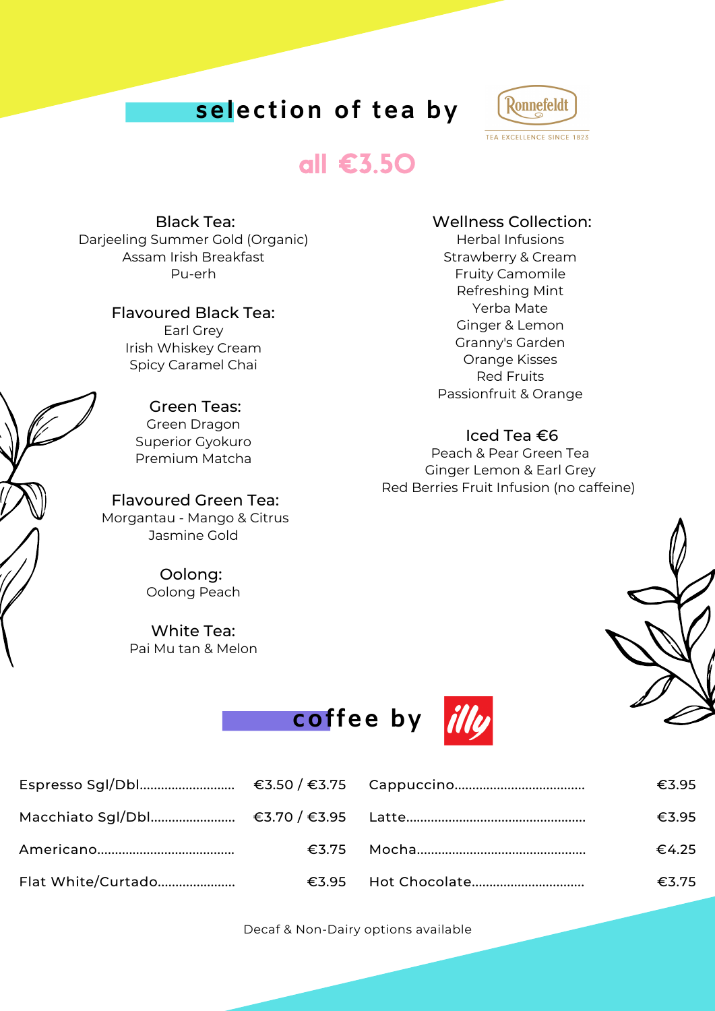## **selection of tea by**



## all €3.50

Black Tea: Darjeeling Summer Gold (Organic) Assam Irish Breakfast Pu-erh

#### Flavoured Black Tea:

Earl Grey Irish Whiskey Cream Spicy Caramel Chai

#### Green Teas:

Green Dragon Superior Gyokuro Premium Matcha

#### Flavoured Green Tea: Morgantau - Mango & Citrus Jasmine Gold

Oolong: Oolong Peach

#### White Tea:

Pai Mu tan & Melon

#### Wellness Collection:

Herbal Infusions Strawberry & Cream Fruity Camomile Refreshing Mint Yerba Mate Ginger & Lemon Granny's Garden Orange Kisses Red Fruits Passionfruit & Orange

#### Iced Tea €6

Peach & Pear Green Tea Ginger Lemon & Earl Grey Red Berries Fruit Infusion (no caffeine)





|                    |  | €3.95 |
|--------------------|--|-------|
|                    |  | €3.95 |
|                    |  | €4.25 |
| Flat White/Curtado |  | €3.75 |

Decaf & Non-Dairy options available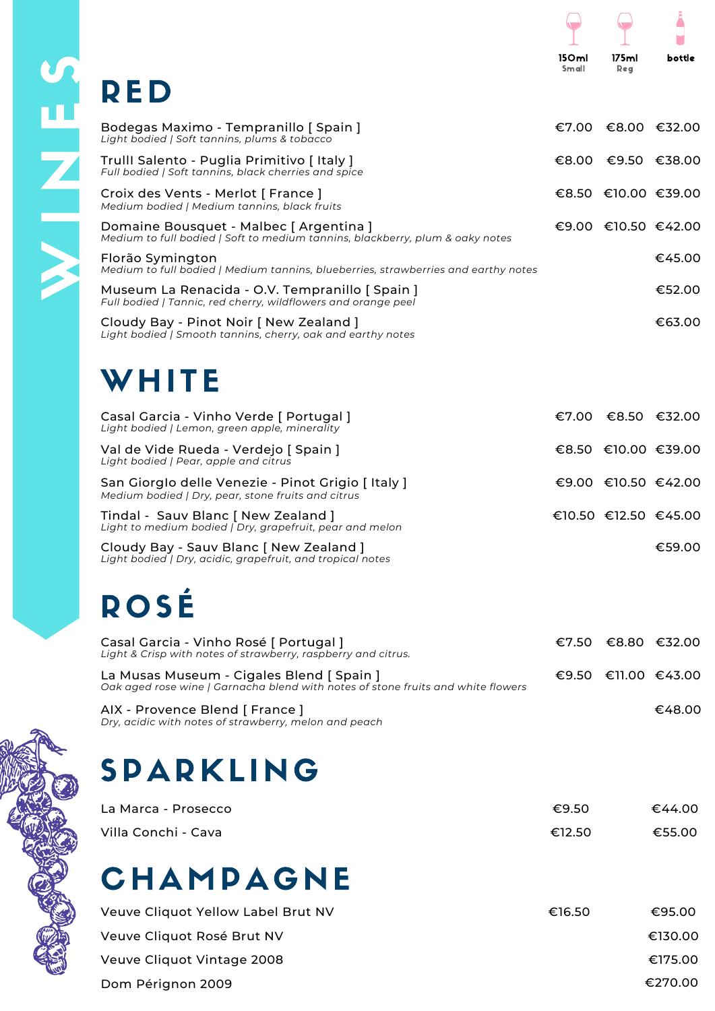# **SARED**

| Bodegas Maximo - Tempranillo [ Spain ]<br>Light bodied   Soft tannins, plums & tobacco                                        |  | $€7.00$ €8.00 €32.00 |
|-------------------------------------------------------------------------------------------------------------------------------|--|----------------------|
| Trulll Salento - Puglia Primitivo [Italy]<br>Full bodied   Soft tannins, black cherries and spice                             |  | €8.00 €9.50 €38.00   |
| Croix des Vents - Merlot [ France ]<br>Medium bodied   Medium tannins, black fruits                                           |  | €8.50 €10.00 €39.00  |
| Domaine Bousquet - Malbec [ Argentina ]<br>Medium to full bodied   Soft to medium tannins, blackberry, plum & oaky notes      |  | €9.00 €10.50 €42.00  |
| Florão Symington<br>Medium to full bodied   Medium tannins, blueberries, strawberries and earthy notes                        |  | €45.00               |
| Museum La Renacida - O.V. Tempranillo [ Spain ]<br>Full bodied   Tannic, red cherry, wildflowers and orange peel              |  | €52.00               |
| Cloudy Bay - Pinot Noir [ New Zealand ]<br>Light bodied   Smooth tannins, cherry, oak and earthy notes                        |  | €63.00               |
| WHITE                                                                                                                         |  |                      |
| Casal Garcia - Vinho Verde [ Portugal ]<br>Light bodied   Lemon, green apple, minerality                                      |  | €7.00 €8.50 €32.00   |
| Val de Vide Rueda - Verdejo [ Spain ]<br>Light bodied   Pear, apple and citrus                                                |  | €8.50 €10.00 €39.00  |
| San Giorglo delle Venezie - Pinot Grigio [Italy]<br>Medium bodied   Dry, pear, stone fruits and citrus                        |  | €9.00 €10.50 €42.00  |
| Tindal - Sauv Blanc [ New Zealand ]<br>Light to medium bodied   Dry, grapefruit, pear and melon                               |  | €10.50 €12.50 €45.00 |
| Cloudy Bay - Sauv Blanc [ New Zealand ]<br>Light bodied   Dry, acidic, grapefruit, and tropical notes                         |  | €59.00               |
| ROSÉ                                                                                                                          |  |                      |
| Casal Garcia - Vinho Rosé [ Portugal ]<br>Light & Crisp with notes of strawberry, raspberry and citrus.                       |  | €7.50 €8.80 €32.00   |
| La Musas Museum - Cigales Blend [ Spain ]<br>Oak aged rose wine   Garnacha blend with notes of stone fruits and white flowers |  | €9.50 €11.00 €43.00  |
| AIX - Provence Blend [ France ]<br>Dry, acidic with notes of strawberry, melon and peach                                      |  | €48.00               |
|                                                                                                                               |  |                      |

## **SPARKLING**

| La Marca - Prosecco | €9.50  | €44.00 |
|---------------------|--------|--------|
| Villa Conchi - Cava | €12.50 | €55.00 |

## **CHAMPAGNE**

| Veuve Cliquot Yellow Label Brut NV | €16.50 | €95.00  |
|------------------------------------|--------|---------|
| Veuve Cliquot Rosé Brut NV         |        | €130.00 |
| Veuve Cliquot Vintage 2008         |        | €175.00 |
| Dom Pérignon 2009                  |        | €270.00 |